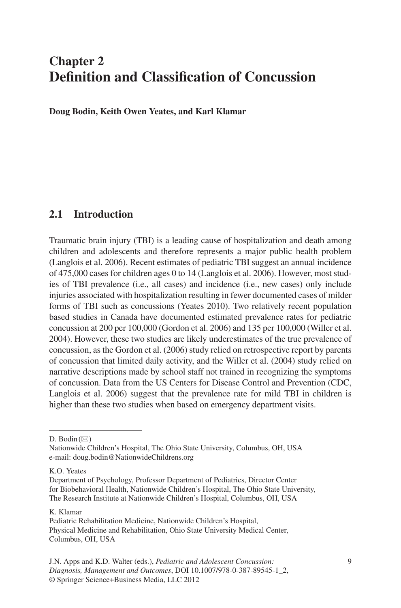# **Chapter 2 Definition and Classification of Concussion**

 **Doug Bodin , Keith Owen Yeates , and Karl Klamar** 

## **2.1 Introduction**

 Traumatic brain injury (TBI) is a leading cause of hospitalization and death among children and adolescents and therefore represents a major public health problem (Langlois et al. 2006 ) . Recent estimates of pediatric TBI suggest an annual incidence of 475,000 cases for children ages 0 to 14 (Langlois et al. 2006 ) . However, most studies of TBI prevalence (i.e., all cases) and incidence (i.e., new cases) only include injuries associated with hospitalization resulting in fewer documented cases of milder forms of TBI such as concussions (Yeates 2010). Two relatively recent population based studies in Canada have documented estimated prevalence rates for pediatric concussion at 200 per 100,000 (Gordon et al. 2006 ) and 135 per 100,000 (Willer et al. 2004 ) . However, these two studies are likely underestimates of the true prevalence of concussion, as the Gordon et al. (2006) study relied on retrospective report by parents of concussion that limited daily activity, and the Willer et al. (2004) study relied on narrative descriptions made by school staff not trained in recognizing the symptoms of concussion. Data from the US Centers for Disease Control and Prevention (CDC, Langlois et al. 2006) suggest that the prevalence rate for mild TBI in children is higher than these two studies when based on emergency department visits.

K. O. Yeates

#### K. Klamar

D. Bodin  $(\boxtimes)$ 

Nationwide Children's Hospital, The Ohio State University, Columbus, OH, USA e-mail: doug.bodin@NationwideChildrens.org

Department of Psychology, Professor Department of Pediatrics, Director Center for Biobehavioral Health, Nationwide Children's Hospital, The Ohio State University, The Research Institute at Nationwide Children's Hospital, Columbus, OH, USA

Pediatric Rehabilitation Medicine, Nationwide Children's Hospital, Physical Medicine and Rehabilitation, Ohio State University Medical Center, Columbus, OH, USA

J.N. Apps and K.D. Walter (eds.), *Pediatric and Adolescent Concussion:* 9 *Diagnosis, Management and Outcomes*, DOI 10.1007/978-0-387-89545-1\_2, © Springer Science+Business Media, LLC 2012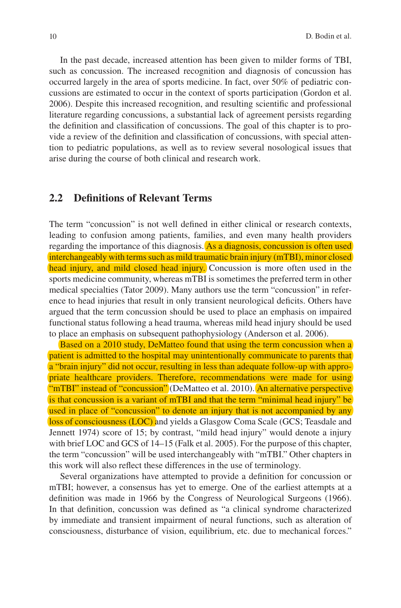In the past decade, increased attention has been given to milder forms of TBI, such as concussion. The increased recognition and diagnosis of concussion has occurred largely in the area of sports medicine. In fact, over 50% of pediatric concussions are estimated to occur in the context of sports participation (Gordon et al. 2006). Despite this increased recognition, and resulting scientific and professional literature regarding concussions, a substantial lack of agreement persists regarding the definition and classification of concussions. The goal of this chapter is to provide a review of the definition and classification of concussions, with special attention to pediatric populations, as well as to review several nosological issues that arise during the course of both clinical and research work.

#### **2.2 Definitions of Relevant Terms**

The term "concussion" is not well defined in either clinical or research contexts, leading to confusion among patients, families, and even many health providers regarding the importance of this diagnosis. As a diagnosis, concussion is often used interchangeably with terms such as mild traumatic brain injury (mTBI), minor closed head injury, and mild closed head injury. Concussion is more often used in the sports medicine community, whereas mTBI is sometimes the preferred term in other medical specialties (Tator 2009). Many authors use the term "concussion" in reference to head injuries that result in only transient neurological deficits. Others have argued that the term concussion should be used to place an emphasis on impaired functional status following a head trauma, whereas mild head injury should be used to place an emphasis on subsequent pathophysiology (Anderson et al. 2006).

Based on a 2010 study, DeMatteo found that using the term concussion when a patient is admitted to the hospital may unintentionally communicate to parents that a "brain injury" did not occur, resulting in less than adequate follow-up with appropriate healthcare providers. Therefore, recommendations were made for using "mTBI" instead of "concussion" (DeMatteo et al. 2010). An alternative perspective is that concussion is a variant of mTBI and that the term "minimal head injury" be used in place of "concussion" to denote an injury that is not accompanied by any loss of consciousness (LOC) and yields a Glasgow Coma Scale (GCS; Teasdale and Jennett 1974) score of 15; by contrast, "mild head injury" would denote a injury with brief LOC and GCS of 14–15 (Falk et al. 2005). For the purpose of this chapter, the term "concussion" will be used interchangeably with "mTBI." Other chapters in this work will also reflect these differences in the use of terminology.

Several organizations have attempted to provide a definition for concussion or mTBI; however, a consensus has yet to emerge. One of the earliest attempts at a definition was made in 1966 by the Congress of Neurological Surgeons (1966). In that definition, concussion was defined as "a clinical syndrome characterized by immediate and transient impairment of neural functions, such as alteration of consciousness, disturbance of vision, equilibrium, etc. due to mechanical forces."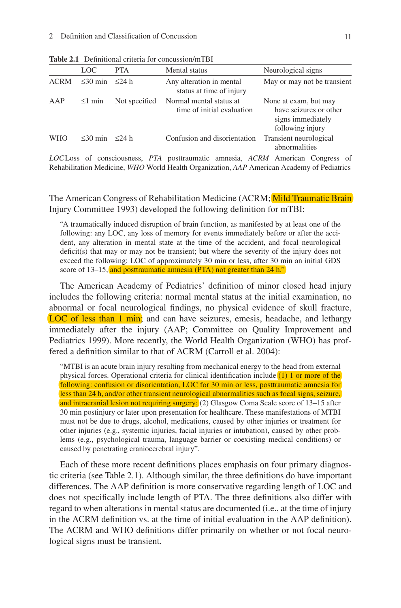|             | LOC.                      | <b>PTA</b>    | Mental status                                         | Neurological signs                                                                       |
|-------------|---------------------------|---------------|-------------------------------------------------------|------------------------------------------------------------------------------------------|
| <b>ACRM</b> | $\leq 30$ min $\leq 24$ h |               | Any alteration in mental<br>status at time of injury  | May or may not be transient                                                              |
| AAP         | $\leq$ 1 min              | Not specified | Normal mental status at<br>time of initial evaluation | None at exam, but may<br>have seizures or other<br>signs immediately<br>following injury |
| <b>WHO</b>  | $<$ 30 min                | $<$ 24 h      | Confusion and disorientation                          | Transient neurological<br>abnormalities                                                  |

**Table 2.1** Definitional criteria for concussion/mTBI

*LOC* Loss of consciousness, *PTA* posttraumatic amnesia, *ACRM* American Congress of Rehabilitation Medicine, *WHO* World Health Organization, *AAP* American Academy of Pediatrics

The American Congress of Rehabilitation Medicine (ACRM; Mild Traumatic Brain Injury Committee 1993) developed the following definition for mTBI:

 "A traumatically induced disruption of brain function, as manifested by at least one of the following: any LOC, any loss of memory for events immediately before or after the accident, any alteration in mental state at the time of the accident, and focal neurological  $deficit(s)$  that may or may not be transient; but where the severity of the injury does not exceed the following: LOC of approximately 30 min or less, after 30 min an initial GDS score of 13–15, and posttraumatic amnesia (PTA) not greater than 24 h."

The American Academy of Pediatrics' definition of minor closed head injury includes the following criteria: normal mental status at the initial examination, no abnormal or focal neurological findings, no physical evidence of skull fracture, LOC of less than 1 min; and can have seizures, emesis, headache, and lethargy immediately after the injury (AAP; Committee on Quality Improvement and Pediatrics 1999). More recently, the World Health Organization (WHO) has proffered a definition similar to that of ACRM (Carroll et al. 2004):

 "MTBI is an acute brain injury resulting from mechanical energy to the head from external physical forces. Operational criteria for clinical identification include  $(1)$  1 or more of the following: confusion or disorientation, LOC for 30 min or less, posttraumatic amnesia for less than 24 h, and/or other transient neurological abnormalities such as focal signs, seizure, and intracranial lesion not requiring surgery;  $(2)$  Glasgow Coma Scale score of 13–15 after 30 min postinjury or later upon presentation for healthcare. These manifestations of MTBI must not be due to drugs, alcohol, medications, caused by other injuries or treatment for other injuries (e.g., systemic injuries, facial injuries or intubation), caused by other problems (e.g., psychological trauma, language barrier or coexisting medical conditions) or caused by penetrating craniocerebral injury".

Each of these more recent definitions places emphasis on four primary diagnostic criteria (see Table 2.1). Although similar, the three definitions do have important differences. The AAP definition is more conservative regarding length of LOC and does not specifically include length of PTA. The three definitions also differ with regard to when alterations in mental status are documented (i.e., at the time of injury in the ACRM definition vs. at the time of initial evaluation in the AAP definition). The ACRM and WHO definitions differ primarily on whether or not focal neurological signs must be transient.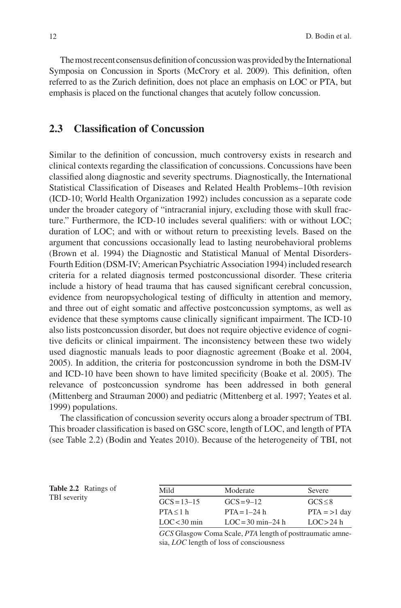The most recent consensus definition of concussion was provided by the International Symposia on Concussion in Sports (McCrory et al. 2009). This definition, often referred to as the Zurich definition, does not place an emphasis on LOC or PTA, but emphasis is placed on the functional changes that acutely follow concussion.

### **2.3 Classification of Concussion**

Similar to the definition of concussion, much controversy exists in research and clinical contexts regarding the classification of concussions. Concussions have been classified along diagnostic and severity spectrums. Diagnostically, the International Statistical Classification of Diseases and Related Health Problems–10th revision (ICD-10; World Health Organization 1992 ) includes concussion as a separate code under the broader category of "intracranial injury, excluding those with skull fracture." Furthermore, the ICD-10 includes several qualifiers: with or without LOC; duration of LOC; and with or without return to preexisting levels. Based on the argument that concussions occasionally lead to lasting neurobehavioral problems (Brown et al. 1994) the Diagnostic and Statistical Manual of Mental Disorders-Fourth Edition (DSM-IV; American Psychiatric Association 1994 ) included research criteria for a related diagnosis termed postconcussional disorder. These criteria include a history of head trauma that has caused significant cerebral concussion, evidence from neuropsychological testing of difficulty in attention and memory, and three out of eight somatic and affective postconcussion symptoms, as well as evidence that these symptoms cause clinically significant impairment. The ICD-10 also lists postconcussion disorder, but does not require objective evidence of cognitive deficits or clinical impairment. The inconsistency between these two widely used diagnostic manuals leads to poor diagnostic agreement (Boake et al. 2004, 2005 ) . In addition, the criteria for postconcussion syndrome in both the DSM-IV and ICD-10 have been shown to have limited specificity (Boake et al. 2005). The relevance of postconcussion syndrome has been addressed in both general (Mittenberg and Strauman 2000) and pediatric (Mittenberg et al. 1997; Yeates et al. 1999 ) populations.

The classification of concussion severity occurs along a broader spectrum of TBI. This broader classification is based on GSC score, length of LOC, and length of PTA (see Table 2.2 ) (Bodin and Yeates 2010 ) . Because of the heterogeneity of TBI, not

 **Table 2.2** Ratings of TBI severity

| Mild            | Moderate            | Severe         |
|-----------------|---------------------|----------------|
| $GCS = 13 - 15$ | $GCS = 9 - 12$      | GCS < 8        |
| PTA < 1 h       | $PTA = 1 - 24 h$    | $PTA = >1$ day |
| LOC<30 min      | $LOC = 30$ min-24 h | LOC > 24 h     |

*GCS* Glasgow Coma Scale, *PTA* length of posttraumatic amnesia, *LOC* length of loss of consciousness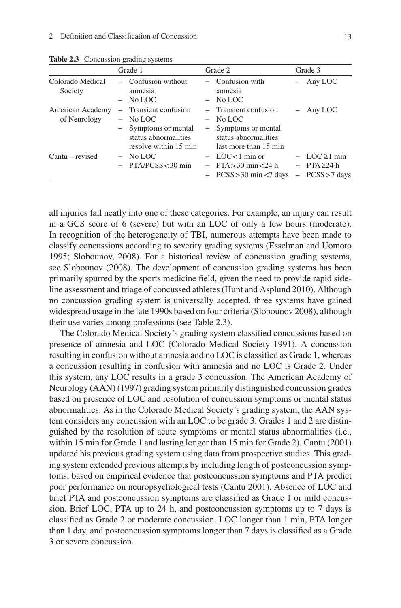|                                  | Grade 1                                                                                                      | Grade 2                                                                                                      | Grade 3                                                          |
|----------------------------------|--------------------------------------------------------------------------------------------------------------|--------------------------------------------------------------------------------------------------------------|------------------------------------------------------------------|
| Colorado Medical<br>Society      | $-$ Confusion without<br>amnesia<br>$-$ No LOC                                                               | - Confusion with<br>amnesia<br>$-$ No LOC                                                                    | $-$ Any LOC                                                      |
| American Academy<br>of Neurology | - Transient confusion<br>$-$ No LOC<br>- Symptoms or mental<br>status abnormalities<br>resolve within 15 min | - Transient confusion<br>$-$ No LOC<br>- Symptoms or mental<br>status abnormalities<br>last more than 15 min | $-$ Any LOC                                                      |
| $Cantu - revised$                | $-$ No LOC<br>$-$ PTA/PCSS < 30 min                                                                          | $-$ LOC<1 min or<br>$-$ PTA $>$ 30 min $<$ 24 h<br>$-$ PCSS > 30 min < 7 days                                | $-$ LOC $\geq$ 1 min<br>$-$ PTA $\geq$ 24 h<br>$-$ PCSS > 7 days |

 **Table 2.3** Concussion grading systems

all injuries fall neatly into one of these categories. For example, an injury can result in a GCS score of 6 (severe) but with an LOC of only a few hours (moderate). In recognition of the heterogeneity of TBI, numerous attempts have been made to classify concussions according to severity grading systems (Esselman and Uomoto 1995; Slobounov, 2008). For a historical review of concussion grading systems, see Slobounov (2008). The development of concussion grading systems has been primarily spurred by the sports medicine field, given the need to provide rapid sideline assessment and triage of concussed athletes (Hunt and Asplund 2010). Although no concussion grading system is universally accepted, three systems have gained widespread usage in the late 1990s based on four criteria (Slobounov 2008 ) , although their use varies among professions (see Table 2.3 ).

The Colorado Medical Society's grading system classified concussions based on presence of amnesia and LOC (Colorado Medical Society 1991). A concussion resulting in confusion without amnesia and no LOC is classified as Grade 1, whereas a concussion resulting in confusion with amnesia and no LOC is Grade 2. Under this system, any LOC results in a grade 3 concussion. The American Academy of Neurology (AAN) (1997) grading system primarily distinguished concussion grades based on presence of LOC and resolution of concussion symptoms or mental status abnormalities. As in the Colorado Medical Society's grading system, the AAN system considers any concussion with an LOC to be grade 3. Grades 1 and 2 are distinguished by the resolution of acute symptoms or mental status abnormalities (i.e., within 15 min for Grade 1 and lasting longer than 15 min for Grade 2). Cantu (2001) updated his previous grading system using data from prospective studies. This grading system extended previous attempts by including length of postconcussion symptoms, based on empirical evidence that postconcussion symptoms and PTA predict poor performance on neuropsychological tests (Cantu 2001). Absence of LOC and brief PTA and postconcussion symptoms are classified as Grade 1 or mild concussion. Brief LOC, PTA up to 24 h, and postconcussion symptoms up to 7 days is classified as Grade 2 or moderate concussion. LOC longer than 1 min, PTA longer than 1 day, and postconcussion symptoms longer than 7 days is classified as a Grade 3 or severe concussion.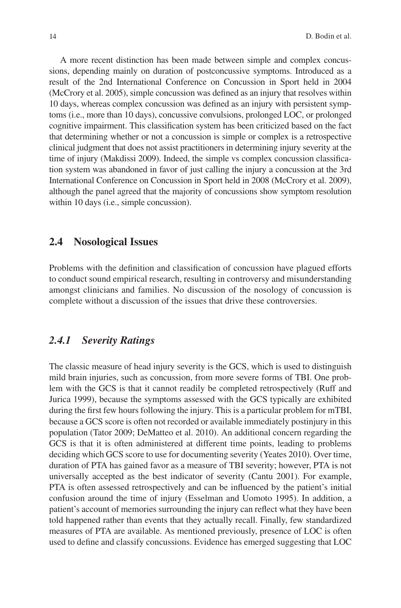A more recent distinction has been made between simple and complex concussions, depending mainly on duration of postconcussive symptoms. Introduced as a result of the 2nd International Conference on Concussion in Sport held in 2004 (McCrory et al. 2005), simple concussion was defined as an injury that resolves within 10 days, whereas complex concussion was defined as an injury with persistent symptoms (i.e., more than 10 days), concussive convulsions, prolonged LOC, or prolonged cognitive impairment. This classification system has been criticized based on the fact that determining whether or not a concussion is simple or complex is a retrospective clinical judgment that does not assist practitioners in determining injury severity at the time of injury (Makdissi 2009). Indeed, the simple vs complex concussion classification system was abandoned in favor of just calling the injury a concussion at the 3rd International Conference on Concussion in Sport held in 2008 (McCrory et al. 2009), although the panel agreed that the majority of concussions show symptom resolution within 10 days (i.e., simple concussion).

## **2.4 Nosological Issues**

Problems with the definition and classification of concussion have plagued efforts to conduct sound empirical research, resulting in controversy and misunderstanding amongst clinicians and families. No discussion of the nosology of concussion is complete without a discussion of the issues that drive these controversies.

## *2.4.1 Severity Ratings*

 The classic measure of head injury severity is the GCS, which is used to distinguish mild brain injuries, such as concussion, from more severe forms of TBI. One problem with the GCS is that it cannot readily be completed retrospectively (Ruff and Jurica 1999), because the symptoms assessed with the GCS typically are exhibited during the first few hours following the injury. This is a particular problem for mTBI, because a GCS score is often not recorded or available immediately postinjury in this population (Tator 2009; DeMatteo et al. 2010). An additional concern regarding the GCS is that it is often administered at different time points, leading to problems deciding which GCS score to use for documenting severity (Yeates 2010). Over time, duration of PTA has gained favor as a measure of TBI severity; however, PTA is not universally accepted as the best indicator of severity (Cantu 2001). For example, PTA is often assessed retrospectively and can be influenced by the patient's initial confusion around the time of injury (Esselman and Uomoto 1995). In addition, a patient's account of memories surrounding the injury can reflect what they have been told happened rather than events that they actually recall. Finally, few standardized measures of PTA are available. As mentioned previously, presence of LOC is often used to define and classify concussions. Evidence has emerged suggesting that LOC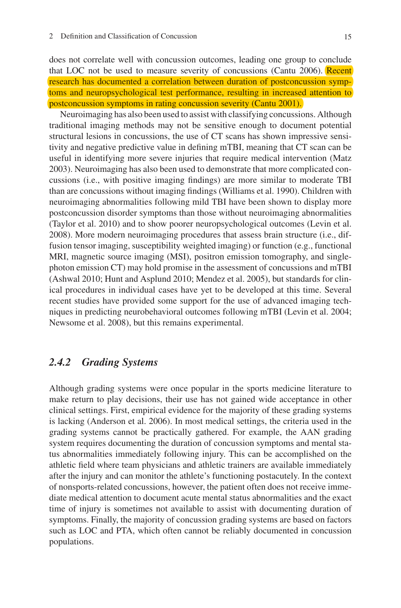does not correlate well with concussion outcomes, leading one group to conclude that LOC not be used to measure severity of concussions (Cantu 2006). Recent research has documented a correlation between duration of postconcussion symptoms and neuropsychological test performance, resulting in increased attention to postconcussion symptoms in rating concussion severity (Cantu 2001).

 Neuroimaging has also been used to assist with classifying concussions. Although traditional imaging methods may not be sensitive enough to document potential structural lesions in concussions, the use of CT scans has shown impressive sensitivity and negative predictive value in defining mTBI, meaning that CT scan can be useful in identifying more severe injuries that require medical intervention (Matz 2003 ) . Neuroimaging has also been used to demonstrate that more complicated concussions (i.e., with positive imaging findings) are more similar to moderate TBI than are concussions without imaging findings (Williams et al. 1990). Children with neuroimaging abnormalities following mild TBI have been shown to display more postconcussion disorder symptoms than those without neuroimaging abnormalities (Taylor et al. 2010 ) and to show poorer neuropsychological outcomes (Levin et al. 2008 ) . More modern neuroimaging procedures that assess brain structure (i.e., diffusion tensor imaging, susceptibility weighted imaging) or function (e.g., functional MRI, magnetic source imaging (MSI), positron emission tomography, and singlephoton emission CT) may hold promise in the assessment of concussions and mTBI (Ashwal 2010; Hunt and Asplund 2010; Mendez et al. 2005), but standards for clinical procedures in individual cases have yet to be developed at this time. Several recent studies have provided some support for the use of advanced imaging techniques in predicting neurobehavioral outcomes following mTBI (Levin et al. 2004; Newsome et al. 2008), but this remains experimental.

## *2.4.2 Grading Systems*

 Although grading systems were once popular in the sports medicine literature to make return to play decisions, their use has not gained wide acceptance in other clinical settings. First, empirical evidence for the majority of these grading systems is lacking (Anderson et al. 2006). In most medical settings, the criteria used in the grading systems cannot be practically gathered. For example, the AAN grading system requires documenting the duration of concussion symptoms and mental status abnormalities immediately following injury. This can be accomplished on the athletic field where team physicians and athletic trainers are available immediately after the injury and can monitor the athlete's functioning postacutely. In the context of nonsports-related concussions, however, the patient often does not receive immediate medical attention to document acute mental status abnormalities and the exact time of injury is sometimes not available to assist with documenting duration of symptoms. Finally, the majority of concussion grading systems are based on factors such as LOC and PTA, which often cannot be reliably documented in concussion populations.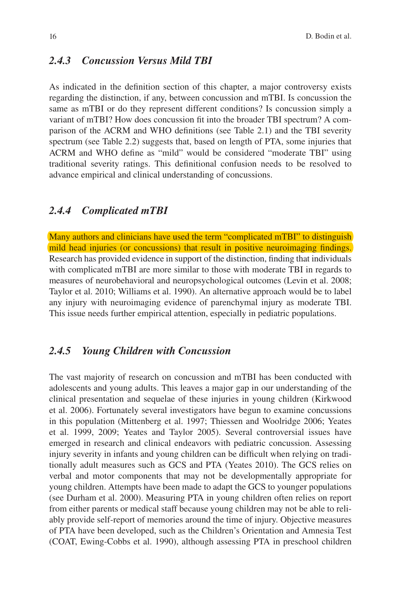## *2.4.3 Concussion Versus Mild TBI*

As indicated in the definition section of this chapter, a major controversy exists regarding the distinction, if any, between concussion and mTBI. Is concussion the same as mTBI or do they represent different conditions? Is concussion simply a variant of mTBI? How does concussion fi t into the broader TBI spectrum? A comparison of the ACRM and WHO definitions (see Table 2.1) and the TBI severity spectrum (see Table 2.2) suggests that, based on length of PTA, some injuries that ACRM and WHO define as "mild" would be considered "moderate TBI" using traditional severity ratings. This definitional confusion needs to be resolved to advance empirical and clinical understanding of concussions.

#### *2.4.4 Complicated mTBI*

 Many authors and clinicians have used the term "complicated mTBI" to distinguish mild head injuries (or concussions) that result in positive neuroimaging findings. Research has provided evidence in support of the distinction, finding that individuals with complicated mTBI are more similar to those with moderate TBI in regards to measures of neurobehavioral and neuropsychological outcomes (Levin et al. 2008 ; Taylor et al. 2010; Williams et al. 1990). An alternative approach would be to label any injury with neuroimaging evidence of parenchymal injury as moderate TBI. This issue needs further empirical attention, especially in pediatric populations.

## *2.4.5 Young Children with Concussion*

 The vast majority of research on concussion and mTBI has been conducted with adolescents and young adults. This leaves a major gap in our understanding of the clinical presentation and sequelae of these injuries in young children (Kirkwood et al. 2006). Fortunately several investigators have begun to examine concussions in this population (Mittenberg et al. 1997; Thiessen and Woolridge 2006; Yeates et al. 1999, 2009; Yeates and Taylor 2005). Several controversial issues have emerged in research and clinical endeavors with pediatric concussion. Assessing injury severity in infants and young children can be difficult when relying on traditionally adult measures such as GCS and PTA (Yeates 2010). The GCS relies on verbal and motor components that may not be developmentally appropriate for young children. Attempts have been made to adapt the GCS to younger populations (see Durham et al. 2000). Measuring PTA in young children often relies on report from either parents or medical staff because young children may not be able to reliably provide self-report of memories around the time of injury. Objective measures of PTA have been developed, such as the Children's Orientation and Amnesia Test (COAT, Ewing-Cobbs et al. 1990), although assessing PTA in preschool children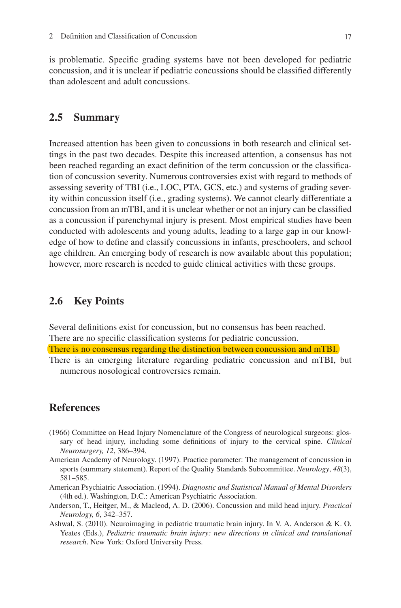is problematic. Specific grading systems have not been developed for pediatric concussion, and it is unclear if pediatric concussions should be classified differently than adolescent and adult concussions.

## **2.5 Summary**

 Increased attention has been given to concussions in both research and clinical settings in the past two decades. Despite this increased attention, a consensus has not been reached regarding an exact definition of the term concussion or the classification of concussion severity. Numerous controversies exist with regard to methods of assessing severity of TBI (i.e., LOC, PTA, GCS, etc.) and systems of grading severity within concussion itself (i.e., grading systems). We cannot clearly differentiate a concussion from an mTBI, and it is unclear whether or not an injury can be classified as a concussion if parenchymal injury is present. Most empirical studies have been conducted with adolescents and young adults, leading to a large gap in our knowledge of how to define and classify concussions in infants, preschoolers, and school age children. An emerging body of research is now available about this population; however, more research is needed to guide clinical activities with these groups.

### **2.6 Key Points**

Several definitions exist for concussion, but no consensus has been reached. There are no specific classification systems for pediatric concussion.

 There is no consensus regarding the distinction between concussion and mTBI. There is an emerging literature regarding pediatric concussion and mTBI, but

numerous nosological controversies remain.

#### **References**

- (1966) Committee on Head Injury Nomenclature of the Congress of neurological surgeons: glossary of head injury, including some definitions of injury to the cervical spine. *Clinical Neurosurgery, 12* , 386–394.
- American Academy of Neurology. (1997). Practice parameter: The management of concussion in sports (summary statement). Report of the Quality Standards Subcommittee. *Neurology* , *48* (3), 581–585.
- American Psychiatric Association. (1994). *Diagnostic and Statistical Manual of Mental Disorders* (4th ed.). Washington, D.C.: American Psychiatric Association.
- Anderson, T., Heitger, M., & Macleod, A. D. (2006). Concussion and mild head injury. *Practical Neurology, 6* , 342–357.
- Ashwal, S. (2010). Neuroimaging in pediatric traumatic brain injury. In V. A. Anderson & K. O. Yeates (Eds.), *Pediatric traumatic brain injury: new directions in clinical and translational research* . New York: Oxford University Press.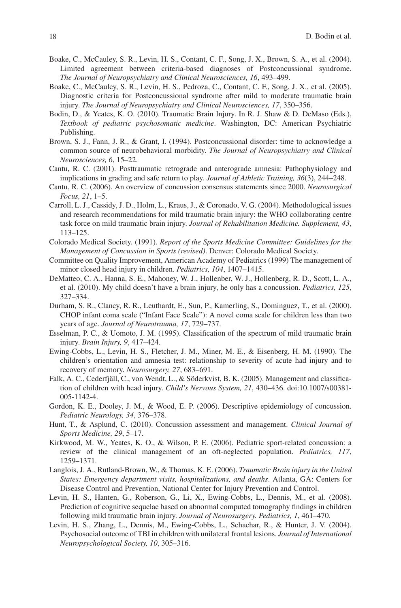- Boake, C., McCauley, S. R., Levin, H. S., Contant, C. F., Song, J. X., Brown, S. A., et al. (2004). Limited agreement between criteria-based diagnoses of Postconcussional syndrome. *The Journal of Neuropsychiatry and Clinical Neurosciences, 16* , 493–499.
- Boake, C., McCauley, S. R., Levin, H. S., Pedroza, C., Contant, C. F., Song, J. X., et al. (2005). Diagnostic criteria for Postconcussional syndrome after mild to moderate traumatic brain injury. *The Journal of Neuropsychiatry and Clinical Neurosciences, 17* , 350–356.
- Bodin, D., & Yeates, K. O. (2010). Traumatic Brain Injury. In R. J. Shaw & D. DeMaso (Eds.), *Textbook of pediatric psychosomatic medicine* . Washington, DC: American Psychiatric Publishing.
- Brown, S. J., Fann, J. R., & Grant, I. (1994). Postconcussional disorder: time to acknowledge a common source of neurobehavioral morbidity. *The Journal of Neuropsychiatry and Clinical Neurosciences, 6* , 15–22.
- Cantu, R. C. (2001). Posttraumatic retrograde and anterograde amnesia: Pathophysiology and implications in grading and safe return to play. *Journal of Athletic Training, 36* (3), 244–248.
- Cantu, R. C. (2006). An overview of concussion consensus statements since 2000. *Neurosurgical Focus, 21* , 1–5.
- Carroll, L. J., Cassidy, J. D., Holm, L., Kraus, J., & Coronado, V. G. (2004). Methodological issues and research recommendations for mild traumatic brain injury: the WHO collaborating centre task force on mild traumatic brain injury. *Journal of Rehabilitation Medicine. Supplement, 43* , 113–125.
- Colorado Medical Society. (1991). *Report of the Sports Medicine Committee: Guidelines for the Management of Concussion in Sports (revised)* . Denver: Colorado Medical Society.
- Committee on Quality Improvement, American Academy of Pediatrics (1999) The management of minor closed head injury in children. *Pediatrics, 104* , 1407–1415.
- DeMatteo, C. A., Hanna, S. E., Mahoney, W. J., Hollenber, W. J., Hollenberg, R. D., Scott, L. A., et al. (2010). My child doesn't have a brain injury, he only has a concussion. *Pediatrics, 125* , 327–334.
- Durham, S. R., Clancy, R. R., Leuthardt, E., Sun, P., Kamerling, S., Dominguez, T., et al. (2000). CHOP infant coma scale ("Infant Face Scale"): A novel coma scale for children less than two years of age. *Journal of Neurotrauma*, 17, 729-737.
- Esselman, P. C., & Uomoto, J. M. (1995). Classification of the spectrum of mild traumatic brain injury. *Brain Injury, 9* , 417–424.
- Ewing-Cobbs, L., Levin, H. S., Fletcher, J. M., Miner, M. E., & Eisenberg, H. M. (1990). The children's orientation and amnesia test: relationship to severity of acute had injury and to recovery of memory. *Neurosurgery, 27* , 683–691.
- Falk, A. C., Cederfjäll, C., von Wendt, L., & Söderkvist, B. K. (2005). Management and classification of children with head injury. *Child's Nervous System, 21* , 430–436. doi: 10.1007/s00381- 005-1142-4 .
- Gordon, K. E., Dooley, J. M., & Wood, E. P. (2006). Descriptive epidemiology of concussion. *Pediatric Neurology, 34* , 376–378.
- Hunt, T., & Asplund, C. (2010). Concussion assessment and management. *Clinical Journal of Sports Medicine, 29* , 5–17.
- Kirkwood, M. W., Yeates, K. O., & Wilson, P. E. (2006). Pediatric sport-related concussion: a review of the clinical management of an oft-neglected population. *Pediatrics, 117* , 1259–1371.
- Langlois, J. A., Rutland-Brown, W., & Thomas, K. E. (2006). *Traumatic Brain injury in the United States: Emergency department visits, hospitalizations, and deaths* . Atlanta, GA: Centers for Disease Control and Prevention, National Center for Injury Prevention and Control.
- Levin, H. S., Hanten, G., Roberson, G., Li, X., Ewing-Cobbs, L., Dennis, M., et al. (2008). Prediction of cognitive sequelae based on abnormal computed tomography findings in children following mild traumatic brain injury. *Journal of Neurosurgery. Pediatrics, 1* , 461–470.
- Levin, H. S., Zhang, L., Dennis, M., Ewing-Cobbs, L., Schachar, R., & Hunter, J. V. (2004). Psychosocial outcome of TBI in children with unilateral frontal lesions. *Journal of International Neuropsychological Society, 10* , 305–316.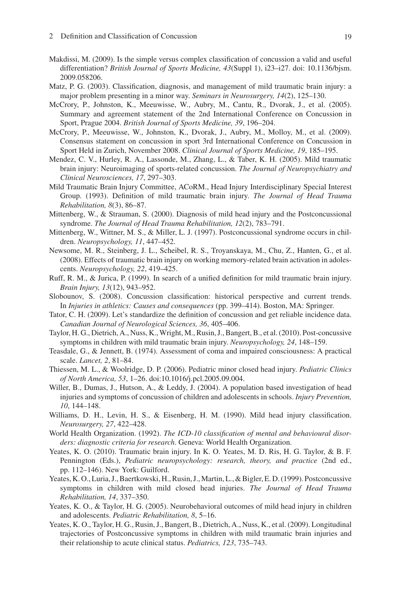- Makdissi, M. (2009). Is the simple versus complex classification of concussion a valid and useful differentiation? *British Journal of Sports Medicine, 43* (Suppl 1), i23–i27. doi: 10.1136/bjsm. 2009.058206.
- Matz, P. G. (2003). Classification, diagnosis, and management of mild traumatic brain injury: a major problem presenting in a minor way. *Seminars in Neurosurgery, 14* (2), 125–130.
- McCrory, P., Johnston, K., Meeuwisse, W., Aubry, M., Cantu, R., Dvorak, J., et al. (2005). Summary and agreement statement of the 2nd International Conference on Concussion in Sport, Prague 2004. *British Journal of Sports Medicine, 39* , 196–204.
- McCrory, P., Meeuwisse, W., Johnston, K., Dvorak, J., Aubry, M., Molloy, M., et al. (2009). Consensus statement on concussion in sport 3rd International Conference on Concussion in Sport Held in Zurich, November 2008. *Clinical Journal of Sports Medicine, 19* , 185–195.
- Mendez, C. V., Hurley, R. A., Lassonde, M., Zhang, L., & Taber, K. H. (2005). Mild traumatic brain injury: Neuroimaging of sports-related concussion. *The Journal of Neuropsychiatry and Clinical Neurosciences, 17* , 297–303.
- Mild Traumatic Brain Injury Committee, ACoRM., Head Injury Interdisciplinary Special Interest Group. (1993). Definition of mild traumatic brain injury. *The Journal of Head Trauma Rehabilitation, 8* (3), 86–87.
- Mittenberg, W., & Strauman, S. (2000). Diagnosis of mild head injury and the Postconcussional syndrome. *The Journal of Head Trauma Rehabilitation*, 12(2), 783-791.
- Mittenberg, W., Wittner, M. S., & Miller, L. J. (1997). Postconcussional syndrome occurs in children. *Neuropsychology, 11* , 447–452.
- Newsome, M. R., Steinberg, J. L., Scheibel, R. S., Troyanskaya, M., Chu, Z., Hanten, G., et al. (2008). Effects of traumatic brain injury on working memory-related brain activation in adolescents. *Neuropsychology, 22* , 419–425.
- Ruff, R. M., & Jurica, P. (1999). In search of a unified definition for mild traumatic brain injury. *Brain Injury, 13* (12), 943–952.
- Slobounov, S. (2008). Concussion classification: historical perspective and current trends. In *Injuries in athletics: Causes and consequences* (pp. 399–414). Boston, MA: Springer.
- Tator, C. H. (2009). Let's standardize the definition of concussion and get reliable incidence data. *Canadian Journal of Neurological Sciences, 36* , 405–406.
- Taylor, H. G., Dietrich, A., Nuss, K., Wright, M., Rusin, J., Bangert, B., et al. (2010). Post-concussive symptoms in children with mild traumatic brain injury. *Neuropsychology, 24* , 148–159.
- Teasdale, G., & Jennett, B. (1974). Assessment of coma and impaired consciousness: A practical scale. *Lancet, 2* , 81–84.
- Thiessen, M. L., & Woolridge, D. P. (2006). Pediatric minor closed head injury. *Pediatric Clinics of North America, 53* , 1–26. doi: 10.1016/j.pcl.2005.09.004 .
- Willer, B., Dumas, J., Hutson, A., & Leddy, J. (2004). A population based investigation of head injuries and symptoms of concussion of children and adolescents in schools. *Injury Prevention, 10* , 144–148.
- Williams, D. H., Levin, H. S., & Eisenberg, H. M. (1990). Mild head injury classification. *Neurosurgery, 27* , 422–428.
- World Health Organization. (1992). *The ICD-10 classification of mental and behavioural disorders: diagnostic criteria for research* . Geneva: World Health Organization.
- Yeates, K. O. (2010). Traumatic brain injury. In K. O. Yeates, M. D. Ris, H. G. Taylor, & B. F. Pennington (Eds.), *Pediatric neuropsychology: research, theory, and practice* (2nd ed., pp. 112–146). New York: Guilford.
- Yeates, K. O., Luria, J., Baertkowski, H., Rusin, J., Martin, L., & Bigler, E. D. (1999). Postconcussive symptoms in children with mild closed head injuries. *The Journal of Head Trauma Rehabilitation, 14* , 337–350.
- Yeates, K. O., & Taylor, H. G. (2005). Neurobehavioral outcomes of mild head injury in children and adolescents. *Pediatric Rehabilitation, 8* , 5–16.
- Yeates, K. O., Taylor, H. G., Rusin, J., Bangert, B., Dietrich, A., Nuss, K., et al. (2009). Longitudinal trajectories of Postconcussive symptoms in children with mild traumatic brain injuries and their relationship to acute clinical status. *Pediatrics, 123* , 735–743.